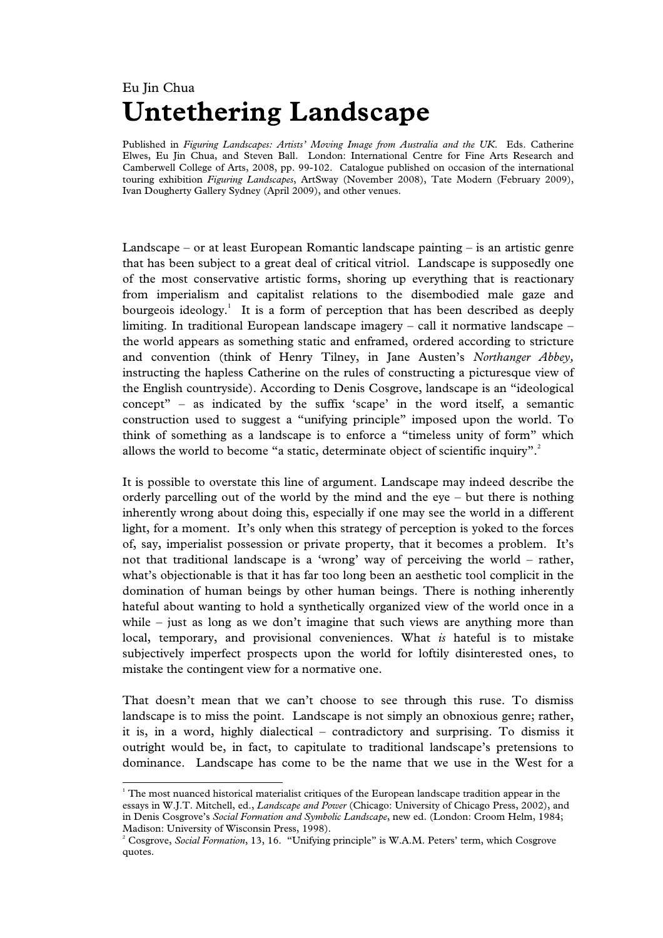## Eu Jin Chua **Untethering Landscape**

Published in *Figuring Landscapes: Artists' Moving Image from Australia and the UK*. Eds. Catherine Elwes, Eu Jin Chua, and Steven Ball. London: International Centre for Fine Arts Research and Camberwell College of Arts, 2008, pp. 99-102. Catalogue published on occasion of the international touring exhibition *Figuring Landscapes*, ArtSway (November 2008), Tate Modern (February 2009), Ivan Dougherty Gallery Sydney (April 2009), and other venues.

Landscape – or at least European Romantic landscape painting – is an artistic genre that has been subject to a great deal of critical vitriol. Landscape is supposedly one of the most conservative artistic forms, shoring up everything that is reactionary from imperialism and capitalist relations to the disembodied male gaze and bourgeois ideology.<sup>1</sup> It is a form of perception that has been described as deeply limiting. In traditional European landscape imagery – call it normative landscape – the world appears as something static and enframed, ordered according to stricture and convention (think of Henry Tilney, in Jane Austen's *Northanger Abbey,* instructing the hapless Catherine on the rules of constructing a picturesque view of the English countryside). According to Denis Cosgrove, landscape is an "ideological concept" – as indicated by the suffix 'scape' in the word itself, a semantic construction used to suggest a "unifying principle" imposed upon the world. To think of something as a landscape is to enforce a "timeless unity of form" which allows the world to become "a static, determinate object of scientific inquiry". $^{2}$ 

It is possible to overstate this line of argument. Landscape may indeed describe the orderly parcelling out of the world by the mind and the eye – but there is nothing inherently wrong about doing this, especially if one may see the world in a different light, for a moment. It's only when this strategy of perception is yoked to the forces of, say, imperialist possession or private property, that it becomes a problem. It's not that traditional landscape is a 'wrong' way of perceiving the world – rather, what's objectionable is that it has far too long been an aesthetic tool complicit in the domination of human beings by other human beings. There is nothing inherently hateful about wanting to hold a synthetically organized view of the world once in a while – just as long as we don't imagine that such views are anything more than local, temporary, and provisional conveniences. What *is* hateful is to mistake subjectively imperfect prospects upon the world for loftily disinterested ones, to mistake the contingent view for a normative one.

That doesn't mean that we can't choose to see through this ruse. To dismiss landscape is to miss the point. Landscape is not simply an obnoxious genre; rather, it is, in a word, highly dialectical – contradictory and surprising. To dismiss it outright would be, in fact, to capitulate to traditional landscape's pretensions to dominance. Landscape has come to be the name that we use in the West for a

 $\overline{\phantom{a}}$ 

<sup>&</sup>lt;sup>1</sup> The most nuanced historical materialist critiques of the European landscape tradition appear in the essays in W.J.T. Mitchell, ed., *Landscape and Power* (Chicago: University of Chicago Press, 2002), and in Denis Cosgrove's *Social Formation and Symbolic Landscape*, new ed. (London: Croom Helm, 1984; Madison: University of Wisconsin Press, 1998).

<sup>2</sup> Cosgrove, *Social Formation*, 13, 16. "Unifying principle" is W.A.M. Peters' term, which Cosgrove quotes.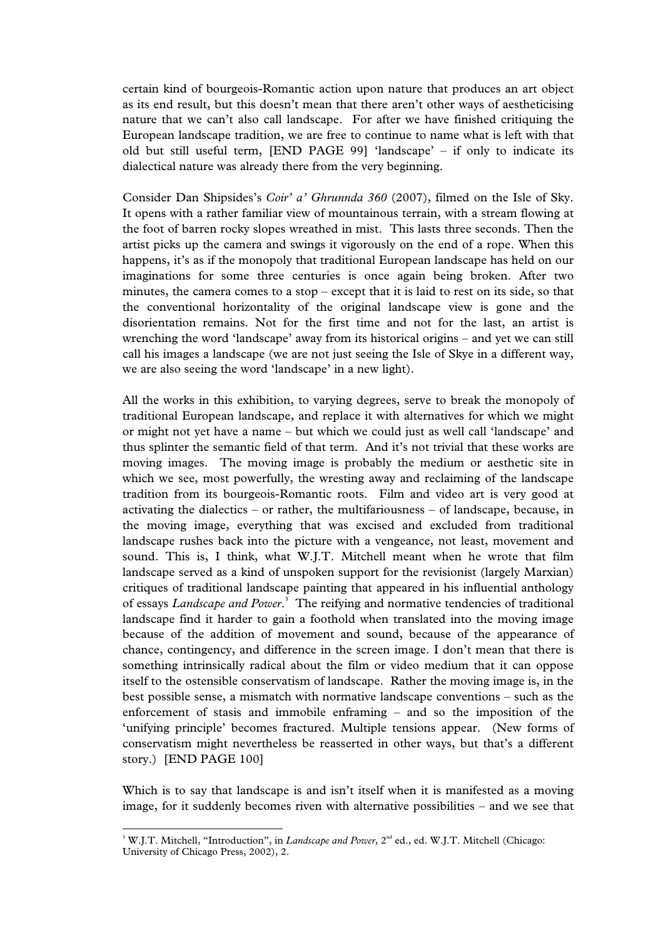certain kind of bourgeois-Romantic action upon nature that produces an art object as its end result, but this doesn't mean that there aren't other ways of aestheticising nature that we can't also call landscape. For after we have finished critiquing the European landscape tradition, we are free to continue to name what is left with that old but still useful term, [END PAGE 99] 'landscape' – if only to indicate its dialectical nature was already there from the very beginning.

Consider Dan Shipsides's *Coir' a' Ghrunnda 360* (2007), filmed on the Isle of Sky. It opens with a rather familiar view of mountainous terrain, with a stream flowing at the foot of barren rocky slopes wreathed in mist. This lasts three seconds. Then the artist picks up the camera and swings it vigorously on the end of a rope. When this happens, it's as if the monopoly that traditional European landscape has held on our imaginations for some three centuries is once again being broken. After two minutes, the camera comes to a stop – except that it is laid to rest on its side, so that the conventional horizontality of the original landscape view is gone and the disorientation remains. Not for the first time and not for the last, an artist is wrenching the word 'landscape' away from its historical origins – and yet we can still call his images a landscape (we are not just seeing the Isle of Skye in a different way, we are also seeing the word 'landscape' in a new light).

All the works in this exhibition, to varying degrees, serve to break the monopoly of traditional European landscape, and replace it with alternatives for which we might or might not yet have a name – but which we could just as well call 'landscape' and thus splinter the semantic field of that term. And it's not trivial that these works are moving images. The moving image is probably the medium or aesthetic site in which we see, most powerfully, the wresting away and reclaiming of the landscape tradition from its bourgeois-Romantic roots. Film and video art is very good at activating the dialectics – or rather, the multifariousness – of landscape, because, in the moving image, everything that was excised and excluded from traditional landscape rushes back into the picture with a vengeance, not least, movement and sound. This is, I think, what W.J.T. Mitchell meant when he wrote that film landscape served as a kind of unspoken support for the revisionist (largely Marxian) critiques of traditional landscape painting that appeared in his influential anthology of essays *Landscape and Power*. 3 The reifying and normative tendencies of traditional landscape find it harder to gain a foothold when translated into the moving image because of the addition of movement and sound, because of the appearance of chance, contingency, and difference in the screen image. I don't mean that there is something intrinsically radical about the film or video medium that it can oppose itself to the ostensible conservatism of landscape. Rather the moving image is, in the best possible sense, a mismatch with normative landscape conventions – such as the enforcement of stasis and immobile enframing – and so the imposition of the 'unifying principle' becomes fractured. Multiple tensions appear. (New forms of conservatism might nevertheless be reasserted in other ways, but that's a different story.) [END PAGE 100]

Which is to say that landscape is and isn't itself when it is manifested as a moving image, for it suddenly becomes riven with alternative possibilities – and we see that

 $\overline{a}$ 

<sup>&</sup>lt;sup>3</sup> W.J.T. Mitchell, "Introduction", in *Landscape and Power*, 2<sup>nd</sup> ed., ed. W.J.T. Mitchell (Chicago: University of Chicago Press, 2002), 2.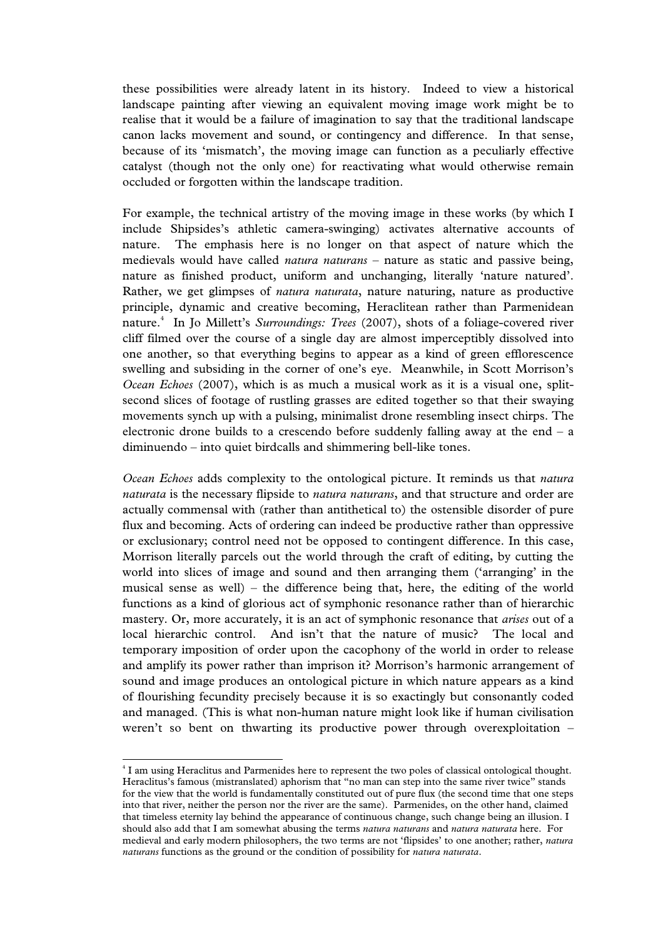these possibilities were already latent in its history. Indeed to view a historical landscape painting after viewing an equivalent moving image work might be to realise that it would be a failure of imagination to say that the traditional landscape canon lacks movement and sound, or contingency and difference. In that sense, because of its 'mismatch', the moving image can function as a peculiarly effective catalyst (though not the only one) for reactivating what would otherwise remain occluded or forgotten within the landscape tradition.

For example, the technical artistry of the moving image in these works (by which I include Shipsides's athletic camera-swinging) activates alternative accounts of nature. The emphasis here is no longer on that aspect of nature which the medievals would have called *natura naturans* – nature as static and passive being, nature as finished product, uniform and unchanging, literally 'nature natured'. Rather, we get glimpses of *natura naturata*, nature naturing, nature as productive principle, dynamic and creative becoming, Heraclitean rather than Parmenidean nature.4 In Jo Millett's *Surroundings: Trees* (2007), shots of a foliage-covered river cliff filmed over the course of a single day are almost imperceptibly dissolved into one another, so that everything begins to appear as a kind of green efflorescence swelling and subsiding in the corner of one's eye. Meanwhile, in Scott Morrison's *Ocean Echoes* (2007), which is as much a musical work as it is a visual one, splitsecond slices of footage of rustling grasses are edited together so that their swaying movements synch up with a pulsing, minimalist drone resembling insect chirps. The electronic drone builds to a crescendo before suddenly falling away at the end – a diminuendo – into quiet birdcalls and shimmering bell-like tones.

*Ocean Echoes* adds complexity to the ontological picture. It reminds us that *natura naturata* is the necessary flipside to *natura naturans*, and that structure and order are actually commensal with (rather than antithetical to) the ostensible disorder of pure flux and becoming. Acts of ordering can indeed be productive rather than oppressive or exclusionary; control need not be opposed to contingent difference. In this case, Morrison literally parcels out the world through the craft of editing, by cutting the world into slices of image and sound and then arranging them ('arranging' in the musical sense as well) – the difference being that, here, the editing of the world functions as a kind of glorious act of symphonic resonance rather than of hierarchic mastery. Or, more accurately, it is an act of symphonic resonance that *arises* out of a local hierarchic control. And isn't that the nature of music? The local and temporary imposition of order upon the cacophony of the world in order to release and amplify its power rather than imprison it? Morrison's harmonic arrangement of sound and image produces an ontological picture in which nature appears as a kind of flourishing fecundity precisely because it is so exactingly but consonantly coded and managed. (This is what non-human nature might look like if human civilisation weren't so bent on thwarting its productive power through overexploitation –

 $\overline{a}$ 

<sup>4</sup> I am using Heraclitus and Parmenides here to represent the two poles of classical ontological thought. Heraclitus's famous (mistranslated) aphorism that "no man can step into the same river twice" stands for the view that the world is fundamentally constituted out of pure flux (the second time that one steps into that river, neither the person nor the river are the same). Parmenides, on the other hand, claimed that timeless eternity lay behind the appearance of continuous change, such change being an illusion. I should also add that I am somewhat abusing the terms *natura naturans* and *natura naturata* here. For medieval and early modern philosophers, the two terms are not 'flipsides' to one another; rather, *natura naturans* functions as the ground or the condition of possibility for *natura naturata*.